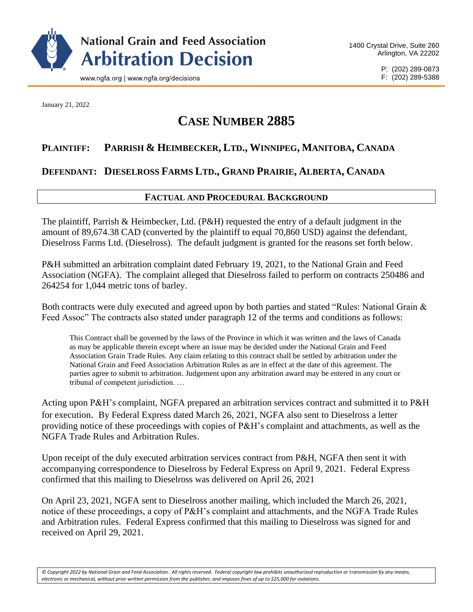

P: (202) 289-0873 F: (202) 289-5388

January 21, 2022

# **CASE NUMBER 2885**

# **PLAINTIFF: PARRISH & HEIMBECKER, LTD., WINNIPEG, MANITOBA, CANADA**

## **DEFENDANT: DIESELROSS FARMS LTD., GRAND PRAIRIE, ALBERTA, CANADA**

## **FACTUAL AND PROCEDURAL BACKGROUND**

The plaintiff, Parrish & Heimbecker, Ltd. (P&H) requested the entry of a default judgment in the amount of 89,674.38 CAD (converted by the plaintiff to equal 70,860 USD) against the defendant, Dieselross Farms Ltd. (Dieselross). The default judgment is granted for the reasons set forth below.

P&H submitted an arbitration complaint dated February 19, 2021, to the National Grain and Feed Association (NGFA). The complaint alleged that Dieselross failed to perform on contracts 250486 and 264254 for 1,044 metric tons of barley.

Both contracts were duly executed and agreed upon by both parties and stated "Rules: National Grain & Feed Assoc" The contracts also stated under paragraph 12 of the terms and conditions as follows:

This Contract shall be governed by the laws of the Province in which it was written and the laws of Canada as may be applicable therein except where an issue may be decided under the National Grain and Feed Association Grain Trade Rules. Any claim relating to this contract shall be settled by arbitration under the National Grain and Feed Association Arbitration Rules as are in effect at the date of this agreement. The parties agree to submit to arbitration. Judgement upon any arbitration award may be entered in any court or tribunal of competent jurisdiction. …

Acting upon P&H's complaint, NGFA prepared an arbitration services contract and submitted it to P&H for execution. By Federal Express dated March 26, 2021, NGFA also sent to Dieselross a letter providing notice of these proceedings with copies of P&H's complaint and attachments, as well as the NGFA Trade Rules and Arbitration Rules.

Upon receipt of the duly executed arbitration services contract from P&H, NGFA then sent it with accompanying correspondence to Dieselross by Federal Express on April 9, 2021. Federal Express confirmed that this mailing to Dieselross was delivered on April 26, 2021

On April 23, 2021, NGFA sent to Dieselross another mailing, which included the March 26, 2021, notice of these proceedings, a copy of P&H's complaint and attachments, and the NGFA Trade Rules and Arbitration rules. Federal Express confirmed that this mailing to Dieselross was signed for and received on April 29, 2021.

*© Copyright 2022 by National Grain and Feed Association. All rights reserved. Federal copyright law prohibits unauthorized reproduction or transmission by any means, electronic or mechanical, without prior written permission from the publisher, and imposes fines of up to \$25,000 for violations.*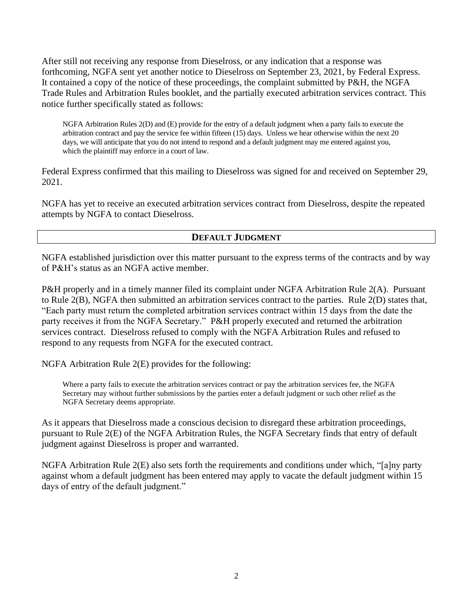After still not receiving any response from Dieselross, or any indication that a response was forthcoming, NGFA sent yet another notice to Dieselross on September 23, 2021, by Federal Express. It contained a copy of the notice of these proceedings, the complaint submitted by P&H, the NGFA Trade Rules and Arbitration Rules booklet, and the partially executed arbitration services contract. This notice further specifically stated as follows:

NGFA Arbitration Rules 2(D) and (E) provide for the entry of a default judgment when a party fails to execute the arbitration contract and pay the service fee within fifteen (15) days. Unless we hear otherwise within the next 20 days, we will anticipate that you do not intend to respond and a default judgment may me entered against you, which the plaintiff may enforce in a court of law.

Federal Express confirmed that this mailing to Dieselross was signed for and received on September 29, 2021.

NGFA has yet to receive an executed arbitration services contract from Dieselross, despite the repeated attempts by NGFA to contact Dieselross.

### **DEFAULT JUDGMENT**

NGFA established jurisdiction over this matter pursuant to the express terms of the contracts and by way of P&H's status as an NGFA active member.

P&H properly and in a timely manner filed its complaint under NGFA Arbitration Rule 2(A). Pursuant to Rule 2(B), NGFA then submitted an arbitration services contract to the parties. Rule 2(D) states that, "Each party must return the completed arbitration services contract within 15 days from the date the party receives it from the NGFA Secretary." P&H properly executed and returned the arbitration services contract. Dieselross refused to comply with the NGFA Arbitration Rules and refused to respond to any requests from NGFA for the executed contract.

NGFA Arbitration Rule 2(E) provides for the following:

Where a party fails to execute the arbitration services contract or pay the arbitration services fee, the NGFA Secretary may without further submissions by the parties enter a default judgment or such other relief as the NGFA Secretary deems appropriate.

As it appears that Dieselross made a conscious decision to disregard these arbitration proceedings, pursuant to Rule 2(E) of the NGFA Arbitration Rules, the NGFA Secretary finds that entry of default judgment against Dieselross is proper and warranted.

NGFA Arbitration Rule 2(E) also sets forth the requirements and conditions under which, "[a]ny party against whom a default judgment has been entered may apply to vacate the default judgment within 15 days of entry of the default judgment."